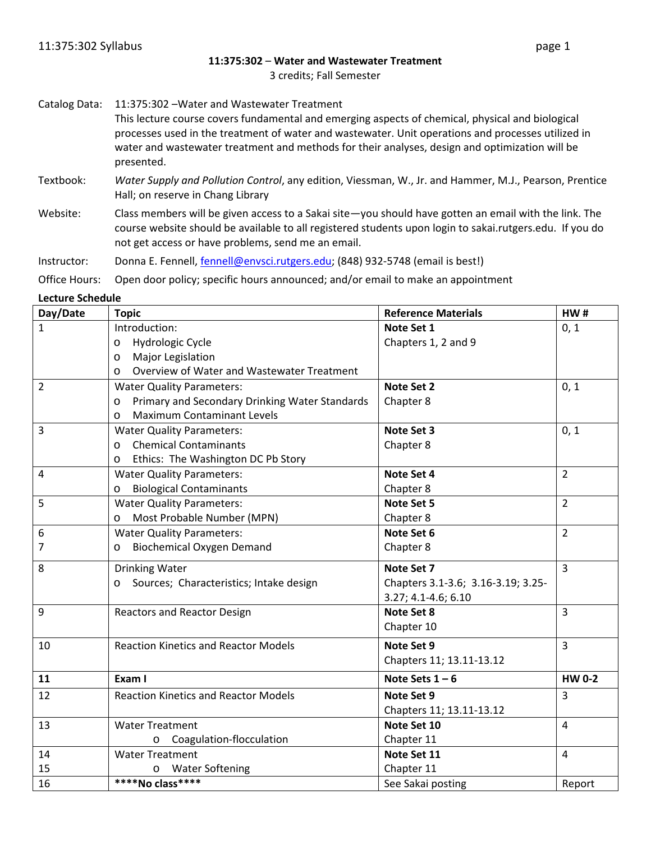#### **11:375:302** – **Water and Wastewater Treatment**

3 credits; Fall Semester

Catalog Data: 11:375:302 –Water and Wastewater Treatment

This lecture course covers fundamental and emerging aspects of chemical, physical and biological processes used in the treatment of water and wastewater. Unit operations and processes utilized in water and wastewater treatment and methods for their analyses, design and optimization will be presented.

- Textbook: *Water Supply and Pollution Control*, any edition, Viessman, W., Jr. and Hammer, M.J., Pearson, Prentice Hall; on reserve in Chang Library
- Website: Class members will be given access to a Sakai site—you should have gotten an email with the link. The course website should be available to all registered students upon login to sakai.rutgers.edu. If you do not get access or have problems, send me an email.

Instructor: Donna E. Fennell[, fennell@envsci.rutgers.edu;](mailto:fennell@envsci.rutgers.edu) (848) 932-5748 (email is best!)

Office Hours: Open door policy; specific hours announced; and/or email to make an appointment

#### **Lecture Schedule**

| Day/Date       | <b>Topic</b>                                          | <b>Reference Materials</b>         | HW#            |
|----------------|-------------------------------------------------------|------------------------------------|----------------|
| $\mathbf{1}$   | Introduction:                                         | Note Set 1                         | 0, 1           |
|                | Hydrologic Cycle<br>O                                 | Chapters 1, 2 and 9                |                |
|                | Major Legislation<br>$\circ$                          |                                    |                |
|                | Overview of Water and Wastewater Treatment<br>$\circ$ |                                    |                |
| $\overline{2}$ | <b>Water Quality Parameters:</b>                      | Note Set 2                         | 0, 1           |
|                | Primary and Secondary Drinking Water Standards<br>O   | Chapter 8                          |                |
|                | <b>Maximum Contaminant Levels</b><br>$\circ$          |                                    |                |
| 3              | <b>Water Quality Parameters:</b>                      | Note Set 3                         | 0, 1           |
|                | <b>Chemical Contaminants</b><br>$\circ$               | Chapter 8                          |                |
|                | Ethics: The Washington DC Pb Story<br>O               |                                    |                |
| 4              | <b>Water Quality Parameters:</b>                      | Note Set 4                         | $\overline{2}$ |
|                | <b>Biological Contaminants</b><br>O                   | Chapter 8                          |                |
| 5              | <b>Water Quality Parameters:</b>                      | Note Set 5                         | $\overline{2}$ |
|                | Most Probable Number (MPN)<br>O                       | Chapter 8                          |                |
| 6              | <b>Water Quality Parameters:</b>                      | Note Set 6                         | $\overline{2}$ |
| 7              | <b>Biochemical Oxygen Demand</b><br>$\circ$           | Chapter 8                          |                |
| 8              | <b>Drinking Water</b>                                 | Note Set 7                         | $\overline{3}$ |
|                | Sources; Characteristics; Intake design<br>$\circ$    | Chapters 3.1-3.6; 3.16-3.19; 3.25- |                |
|                |                                                       | 3.27; 4.1-4.6; 6.10                |                |
| 9              | <b>Reactors and Reactor Design</b>                    | Note Set 8                         | $\overline{3}$ |
|                |                                                       | Chapter 10                         |                |
| 10             | <b>Reaction Kinetics and Reactor Models</b>           | Note Set 9                         | $\overline{3}$ |
|                |                                                       | Chapters 11; 13.11-13.12           |                |
| 11             | Exam I                                                | Note Sets $1-6$                    | <b>HW 0-2</b>  |
| 12             | <b>Reaction Kinetics and Reactor Models</b>           | Note Set 9                         | $\overline{3}$ |
|                |                                                       | Chapters 11; 13.11-13.12           |                |
| 13             | <b>Water Treatment</b>                                | Note Set 10                        | $\overline{4}$ |
|                | Coagulation-flocculation<br>$\circ$                   | Chapter 11                         |                |
| 14             | <b>Water Treatment</b>                                | Note Set 11                        | $\overline{4}$ |
| 15             | <b>Water Softening</b><br>O                           | Chapter 11                         |                |
| 16             | ****No class****                                      | See Sakai posting                  | Report         |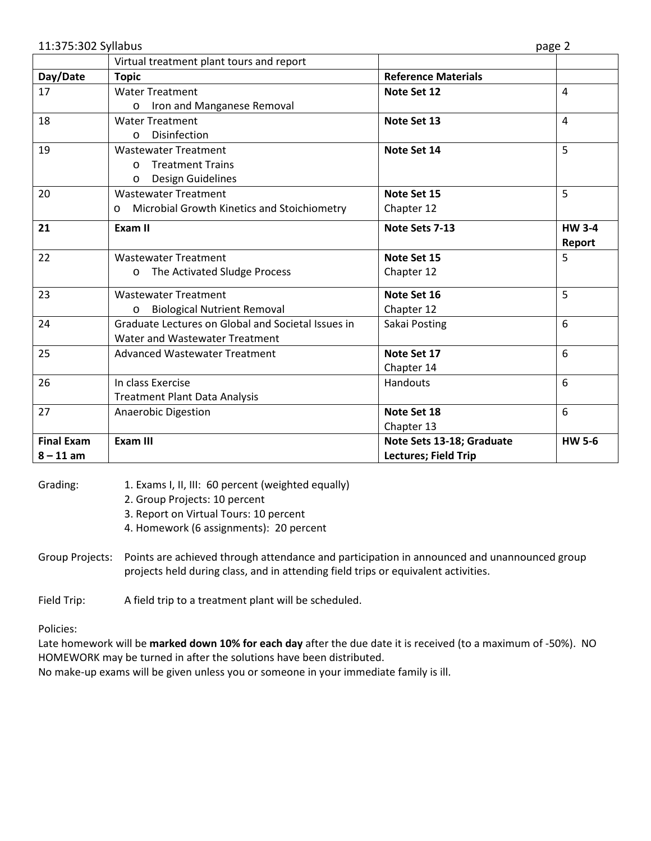11:375:302 Syllabus page 2

|                   | Virtual treatment plant tours and report               |                             |                |
|-------------------|--------------------------------------------------------|-----------------------------|----------------|
| Day/Date          | <b>Topic</b>                                           | <b>Reference Materials</b>  |                |
| 17                | <b>Water Treatment</b>                                 | Note Set 12                 | $\overline{4}$ |
|                   | Iron and Manganese Removal<br>$\circ$                  |                             |                |
| 18                | <b>Water Treatment</b>                                 | Note Set 13                 | $\overline{4}$ |
|                   | Disinfection<br>$\Omega$                               |                             |                |
| 19                | <b>Wastewater Treatment</b>                            | Note Set 14                 | 5              |
|                   | <b>Treatment Trains</b><br>$\Omega$                    |                             |                |
|                   | <b>Design Guidelines</b><br>$\circ$                    |                             |                |
| 20                | <b>Wastewater Treatment</b>                            | Note Set 15                 | 5              |
|                   | Microbial Growth Kinetics and Stoichiometry<br>$\circ$ | Chapter 12                  |                |
| 21                | Exam II                                                | Note Sets 7-13              | <b>HW 3-4</b>  |
|                   |                                                        |                             | Report         |
| 22                | <b>Wastewater Treatment</b>                            | Note Set 15                 | 5              |
|                   | The Activated Sludge Process<br>$\circ$                | Chapter 12                  |                |
| 23                | <b>Wastewater Treatment</b>                            | Note Set 16                 | 5              |
|                   | <b>Biological Nutrient Removal</b>                     | Chapter 12                  |                |
| 24                | Graduate Lectures on Global and Societal Issues in     | Sakai Posting               | 6              |
|                   | Water and Wastewater Treatment                         |                             |                |
| 25                | <b>Advanced Wastewater Treatment</b>                   | Note Set 17                 | 6              |
|                   |                                                        | Chapter 14                  |                |
| 26                | In class Exercise                                      | Handouts                    | 6              |
|                   | <b>Treatment Plant Data Analysis</b>                   |                             |                |
| 27                | Anaerobic Digestion                                    | Note Set 18                 | 6              |
|                   |                                                        | Chapter 13                  |                |
| <b>Final Exam</b> | <b>Exam III</b>                                        | Note Sets 13-18; Graduate   | <b>HW 5-6</b>  |
| $8 - 11$ am       |                                                        | <b>Lectures; Field Trip</b> |                |

Grading: 1. Exams I, II, III: 60 percent (weighted equally)

- 2. Group Projects: 10 percent
- 3. Report on Virtual Tours: 10 percent
- 4. Homework (6 assignments): 20 percent
- Group Projects: Points are achieved through attendance and participation in announced and unannounced group projects held during class, and in attending field trips or equivalent activities.

Field Trip: A field trip to a treatment plant will be scheduled.

Policies:

Late homework will be **marked down 10% for each day** after the due date it is received (to a maximum of -50%). NO HOMEWORK may be turned in after the solutions have been distributed.

No make-up exams will be given unless you or someone in your immediate family is ill.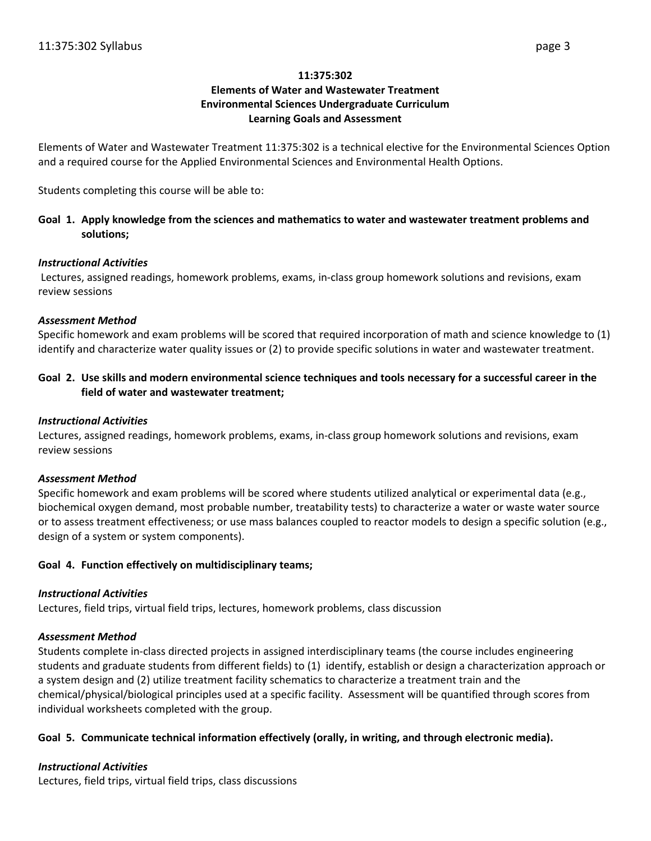### **11:375:302**

# **Elements of Water and Wastewater Treatment Environmental Sciences Undergraduate Curriculum Learning Goals and Assessment**

Elements of Water and Wastewater Treatment 11:375:302 is a technical elective for the Environmental Sciences Option and a required course for the Applied Environmental Sciences and Environmental Health Options.

Students completing this course will be able to:

# **Goal 1. Apply knowledge from the sciences and mathematics to water and wastewater treatment problems and solutions;**

### *Instructional Activities*

Lectures, assigned readings, homework problems, exams, in-class group homework solutions and revisions, exam review sessions

### *Assessment Method*

Specific homework and exam problems will be scored that required incorporation of math and science knowledge to (1) identify and characterize water quality issues or (2) to provide specific solutions in water and wastewater treatment.

## **Goal 2. Use skills and modern environmental science techniques and tools necessary for a successful career in the field of water and wastewater treatment;**

### *Instructional Activities*

Lectures, assigned readings, homework problems, exams, in-class group homework solutions and revisions, exam review sessions

### *Assessment Method*

Specific homework and exam problems will be scored where students utilized analytical or experimental data (e.g., biochemical oxygen demand, most probable number, treatability tests) to characterize a water or waste water source or to assess treatment effectiveness; or use mass balances coupled to reactor models to design a specific solution (e.g., design of a system or system components).

### **Goal 4. Function effectively on multidisciplinary teams;**

### *Instructional Activities*

Lectures, field trips, virtual field trips, lectures, homework problems, class discussion

### *Assessment Method*

Students complete in-class directed projects in assigned interdisciplinary teams (the course includes engineering students and graduate students from different fields) to (1) identify, establish or design a characterization approach or a system design and (2) utilize treatment facility schematics to characterize a treatment train and the chemical/physical/biological principles used at a specific facility. Assessment will be quantified through scores from individual worksheets completed with the group.

### **Goal 5. Communicate technical information effectively (orally, in writing, and through electronic media).**

# *Instructional Activities*

Lectures, field trips, virtual field trips, class discussions